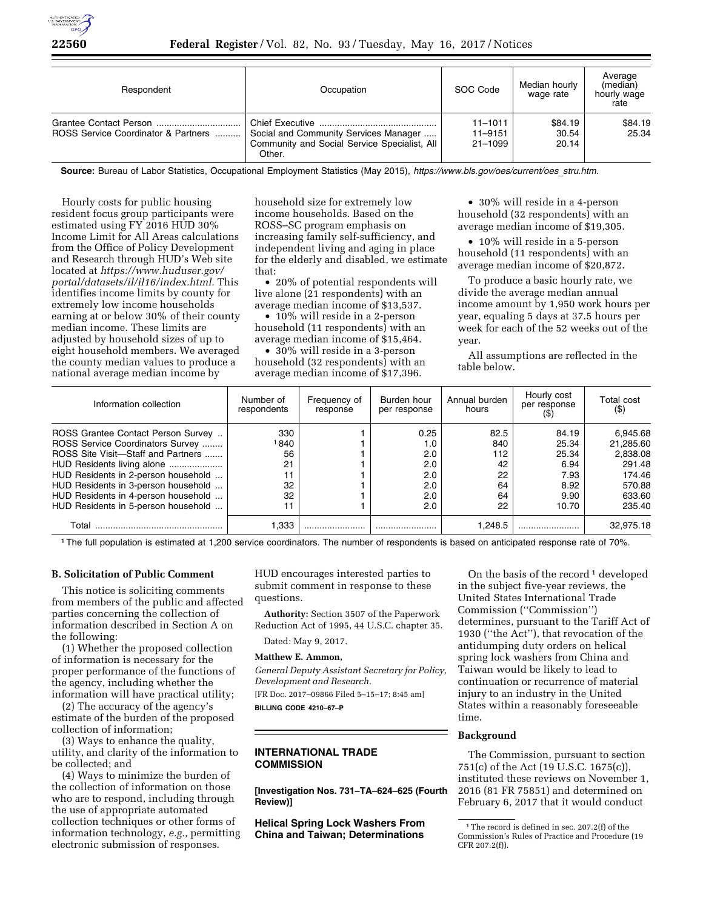

| Respondent                          | Occupation                                                                                      | SOC Code                              | Median hourly<br>wage rate | Average<br>(median)<br>hourly wage<br>rate |
|-------------------------------------|-------------------------------------------------------------------------------------------------|---------------------------------------|----------------------------|--------------------------------------------|
| ROSS Service Coordinator & Partners | Social and Community Services Manager<br>Community and Social Service Specialist, All<br>Other. | $11 - 1011$<br>$11 - 9151$<br>21-1099 | \$84.19<br>30.54<br>20.14  | \$84.19<br>25.34                           |

**Source:** Bureau of Labor Statistics, Occupational Employment Statistics (May 2015), *[https://www.bls.gov/oes/current/oes](https://www.bls.gov/oes/current/oes_stru.htm)*\_*stru.htm.* 

Hourly costs for public housing resident focus group participants were estimated using FY 2016 HUD 30% Income Limit for All Areas calculations from the Office of Policy Development and Research through HUD's Web site located at *[https://www.huduser.gov/](https://www.huduser.gov/portal/datasets/il/il16/index.html) [portal/datasets/il/il16/index.html.](https://www.huduser.gov/portal/datasets/il/il16/index.html)* This identifies income limits by county for extremely low income households earning at or below 30% of their county median income. These limits are adjusted by household sizes of up to eight household members. We averaged the county median values to produce a national average median income by

household size for extremely low income households. Based on the ROSS–SC program emphasis on increasing family self-sufficiency, and independent living and aging in place for the elderly and disabled, we estimate that:

• 20% of potential respondents will live alone (21 respondents) with an average median income of \$13,537.

• 10% will reside in a 2-person household (11 respondents) with an average median income of \$15,464.

• 30% will reside in a 3-person household (32 respondents) with an average median income of \$17,396.

• 30% will reside in a 4-person household (32 respondents) with an average median income of \$19,305.

• 10% will reside in a 5-person household (11 respondents) with an average median income of \$20,872.

To produce a basic hourly rate, we divide the average median annual income amount by 1,950 work hours per year, equaling 5 days at 37.5 hours per week for each of the 52 weeks out of the year.

All assumptions are reflected in the table below.

| Information collection              | Number of<br>respondents | Frequency of<br>response | Burden hour<br>per response | Annual burden<br>hours | Hourly cost<br>per response | Total cost<br>$($ \$ |
|-------------------------------------|--------------------------|--------------------------|-----------------------------|------------------------|-----------------------------|----------------------|
| ROSS Grantee Contact Person Survey  | 330                      |                          | 0.25                        | 82.5                   | 84.19                       | 6.945.68             |
| ROSS Service Coordinators Survey    | 840 ا                    |                          | I.O                         | 840                    | 25.34                       | 21.285.60            |
| ROSS Site Visit-Staff and Partners  | 56                       |                          | 2.0                         | 112                    | 25.34                       | 2,838.08             |
| HUD Residents living alone          | 21                       |                          | 2.0                         | 42                     | 6.94                        | 291.48               |
| HUD Residents in 2-person household |                          |                          | 2.0                         | 22                     | 7.93                        | 174.46               |
| HUD Residents in 3-person household | 32                       |                          | 2.0                         | 64                     | 8.92                        | 570.88               |
| HUD Residents in 4-person household | 32                       |                          | 2.0                         | 64                     | 9.90                        | 633.60               |
| HUD Residents in 5-person household |                          |                          | 2.0                         | 22                     | 10.70                       | 235.40               |
| Total                               | 1,333                    |                          |                             | 1.248.5                |                             | 32.975.18            |

1The full population is estimated at 1,200 service coordinators. The number of respondents is based on anticipated response rate of 70%.

# **B. Solicitation of Public Comment**

This notice is soliciting comments from members of the public and affected parties concerning the collection of information described in Section A on the following:

(1) Whether the proposed collection of information is necessary for the proper performance of the functions of the agency, including whether the information will have practical utility;

(2) The accuracy of the agency's estimate of the burden of the proposed collection of information;

(3) Ways to enhance the quality, utility, and clarity of the information to be collected; and

(4) Ways to minimize the burden of the collection of information on those who are to respond, including through the use of appropriate automated collection techniques or other forms of information technology, *e.g.,* permitting electronic submission of responses.

HUD encourages interested parties to submit comment in response to these questions.

**Authority:** Section 3507 of the Paperwork Reduction Act of 1995, 44 U.S.C. chapter 35.

Dated: May 9, 2017.

#### **Matthew E. Ammon,**

*General Deputy Assistant Secretary for Policy, Development and Research.* 

[FR Doc. 2017–09866 Filed 5–15–17; 8:45 am]

**BILLING CODE 4210–67–P** 

# **INTERNATIONAL TRADE COMMISSION**

**[Investigation Nos. 731–TA–624–625 (Fourth Review)]** 

**Helical Spring Lock Washers From China and Taiwan; Determinations** 

On the basis of the record  $1$  developed in the subject five-year reviews, the United States International Trade Commission (''Commission'') determines, pursuant to the Tariff Act of 1930 (''the Act''), that revocation of the antidumping duty orders on helical spring lock washers from China and Taiwan would be likely to lead to continuation or recurrence of material injury to an industry in the United States within a reasonably foreseeable time.

# **Background**

The Commission, pursuant to section 751(c) of the Act (19 U.S.C. 1675(c)), instituted these reviews on November 1, 2016 (81 FR 75851) and determined on February 6, 2017 that it would conduct

 $^{\rm 1}\!$  The record is defined in sec. 207.2(f) of the Commission's Rules of Practice and Procedure (19 CFR 207.2(f)).